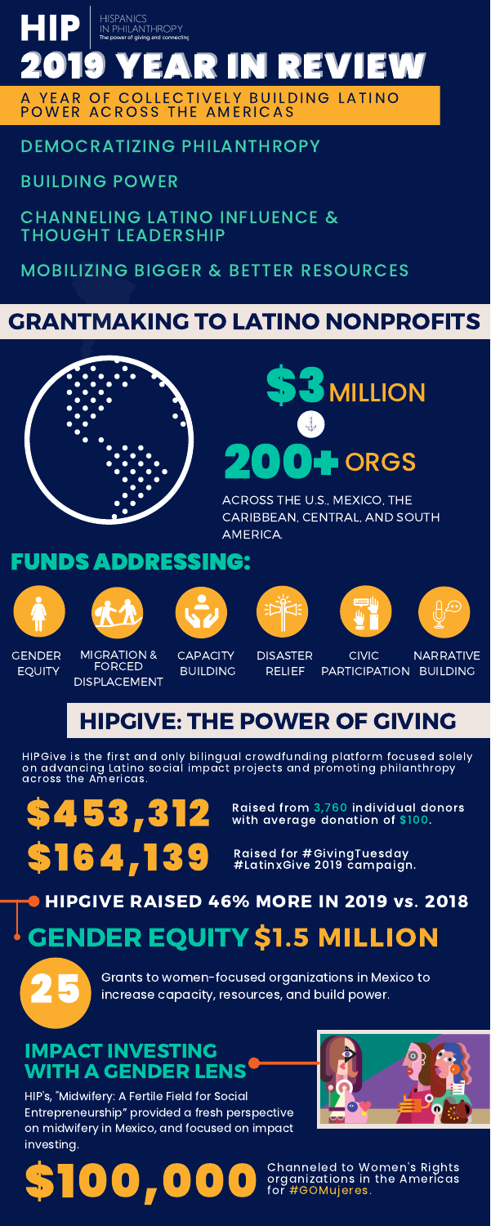# GRANTMAKING TO LATINO NONPROFITS



GENDER EQUITY



**DISASTER** RELIEF

MIGRATION & FORCED DISPLACEMENT



**CAPACITY BUILDING** 







CIVIC

PARTICIPATION BUILDING NARRATIVE

# HIPGIVE: THE POWER OF GIVING

### IMPACT INVESTING WITH A GENDER LENS

### DEMOCRATIZING PHILANTHROPY

### BUILDING POWER

CHANNELING LATINO INFLUENCE & THOUGHT LEADERSHIP

### MOBILIZING BIGGER & BETTER RESOURCES

Raised for #GivingTuesday #LatinxGive 2019 campaign.

# \$164,139

 $\begin{array}{l} \textbf{S} \textbf{4} \textbf{5} \textbf{3} \textbf{3} \textbf{1} \textbf{2} \end{array}$  Raised from 3,760 individual donors with average donation of \$100.



Grants to women-focused organizations in Mexico to increase capacity, resources, and build power.

HIP's, "Midwifery: A Fertile Field for Social Entrepreneurship" provided a fresh perspective on midwifery in Mexico, and focused on impact investing.







ACROSS THE U.S., MEXICO, THE CARIBBEAN, CENTRAL, AND SOUTH AMERICA.

# FUNDS ADDRESSING:



\$100,000

# GENDER EQUITY \$1.5 MILLION HIPGIVE RAISED 46% MORE IN 2019 vs. 2018

Channeled to Women's Rights organizations in the Americas for #GOMujeres.

HIPGive is the first and only bilingual crowdfunding platform focused solely on advancing Latino social impact projects and promoting philanthropy across the Americas.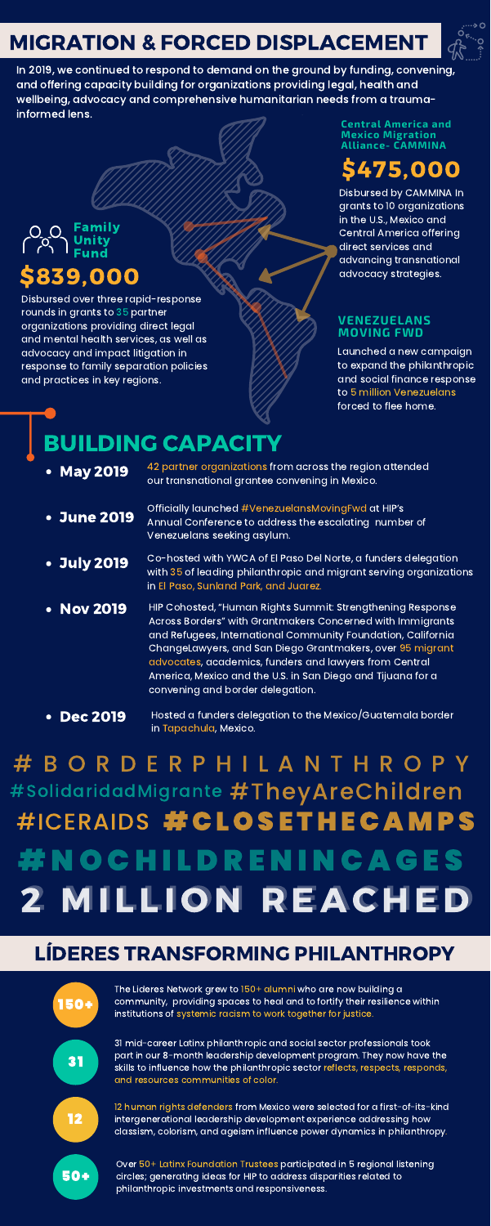# \$475,000

Disbursed by CAMMINA In grants to 10 organizations in the U.S., Mexico and Central America offering direct services and advancing transnational advocacy strategies.

- 
- May 2019 <sup>42</sup> partner organizations from across the region attended<br>our transnational grantee convening in Mexico.
- June 2019

## LÍDERES TRANSFORMING PHILANTHROPY

#### **Central America and Mexico Migration Alliance- CAMMINA**

# MIGRATION & FORCED DISPLACEMENT



In 2019, we continued to respond to demand on the ground by funding, convening, and offering capacity building for organizations providing legal, health and wellbeing, advocacy and comprehensive humanitarian needs from a traumainformed lens.

Disbursed over three rapid-response rounds in grants to 35 partner organizations providing direct legal and mental health services, as well as advocacy and impact litigation in response to family separation policies and practices in key regions.

\$839,000 Family Unity Fund

- July 2019 Co-hosted with YWCA of El Paso Del Norte, a funders delegation with 35 of leading philanthropic and migrant serving organizations in El Paso, Sunland Park, and Juarez.
- Nov 2019 HIP Cohosted, "Human Rights Summit: Strengthening Response Across Borders" with Grantmakers Concerned with Immigrants and Refugees, International Community Foundation, California ChangeLawyers, and San Diego Grantmakers, over 95 migrant advocates, academics, funders and lawyers from Central America, Mexico and the U.S. in San Diego and Tijuana for a convening and border delegation.
- Dec 2019 Hosted a funders delegation to the Mexico/Guatemala border in Tapachula, Mexico.

# BUILDING CAPACITY

Officially launched #VenezuelansMovingFwd at HIP's Annual Conference to address the escalating number of Venezuelans seeking asylum.

# #SolidaridadMigrante #TheyAreChildren #ICERAIDS #CLOSETHECAMPS # N O C H I L D R E N I N C A G E S 2 MILLION REACHED # B O R D E R P H I L A N T H R O P Y



#### **VENEZUELANS MOVING FWD**

Launched a new campaign to expand the philanthropic and social finance response to 5 million Venezuelans forced to flee home.